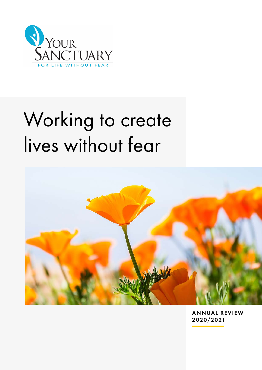

# Working to create lives without fear



ANNUAL REVIEW 2020/2021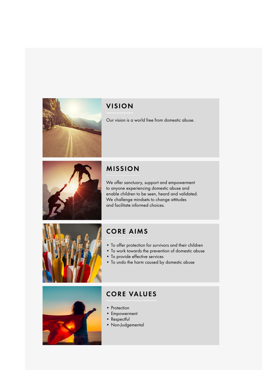

### VISION

Our vision is a world free from domestic abuse.



### MISSION

We offer sanctuary, support and empowerment to anyone experiencing domestic abuse and enable children to be seen, heard and validated. We challenge mindsets to change attitudes and facilitate informed choices.



### CORE AIMS

- To offer protection for survivors and their children
- To work towards the prevention of domestic abuse
- To provide effective services
- To undo the harm caused by domestic abuse



### CORE VALUES

- Protection
- Empowerment
- Respectful
- Non-Judgemental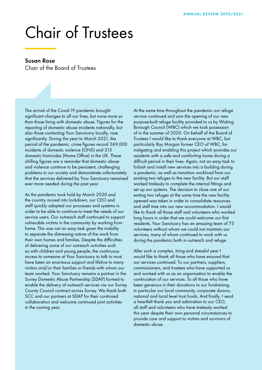## Chair of Trustees

#### Susan Rose

Chair of the Board of Trustees

The arrival of the Covid-19 pandemic brought significant changes to all our lives, but none more so than those living with domestic abuse. Figures for the reporting of domestic abuse incidents nationally, but also those contacting Your Sanctuary locally, rose significantly. During the year to March 2021, the period of the pandemic, crime figures record 369,000 incidents of domestic violence (ONS) and 215 domestic homicides (Home Office) in the UK. These chilling figures are a reminder that domestic abuse and violence continue to be persistent, challenging problems in our society and demonstrate unfortunately that the services delivered by Your Sanctuary remained ever more needed during the past year.

As the pandemic took hold by March 2020 and the country moved into lockdown, our CEO and staff quickly adapted our processes and systems in order to be able to continue to meet the needs of our service users. Our outreach staff continued to support vulnerable victims in the community by working from home. This was not an easy task given the inability to separate the distressing nature of the work from their own homes and families. Despite the difficulties of delivering some of our outreach activities such as with children and young people, the continuous access to someone at Your Sanctuary to talk to must have been an enormous support and lifeline to many victims and/or their families or friends with whom our team worked. Your Sanctuary remains a partner in the Surrey Domestic Abuse Partnership (SDAP) formed to enable the delivery of outreach services via our Surrey County Council contract across Surrey. We thank both SCC and our partners at SDAP for their continued collaboration and welcome continued joint activities in the coming year.

At the same time throughout the pandemic our refuge service continued and saw the opening of our new purpose-built refuge facility provided to us by Woking Borough Council (WBC) which we took possession of in the summer of 2020. On behalf of the Board of Trustees I would like to thank everyone at WBC, but particularly Ray Morgan former CEO of WBC, for instigating and enabling this project which provides our residents with a safe and comforting home during a difficult period in their lives. Again, not an easy task to furbish and install new services into a building during a pandemic, as well as transition workload from our existing two refuges to the new facility. But our staff worked tirelessly to complete the internal fittings and set up our systems. The decision to close one of our exiting two refuges at the same time the new facility opened was taken in order to consolidate resources and staff time into our new accommodation. I would like to thank all those staff and volunteers who worked long hours in order that we could welcome our first residents. Your Sanctuary has an amazing team of 75 volunteers without whom we could not maintain our services, many of whom continued to work with us during the pandemic both in outreach and refuge.

After such a complex, tiring and stressful year I would like to thank all those who have ensured that our services continued. To our partners, suppliers, commissioners, and trustees who have supported us and worked with us as an organisation to enable the continuation of our services. To all those who have been generous in their donations to our fundraising, in particular our local community, corporate donors, national and local level trust funds. And finally, I send a heartfelt thank you and admiration to our CEO, all staff and volunteers who have tirelessly worked this year despite their own personal circumstances to provide care and support to victims and survivors of domestic abuse.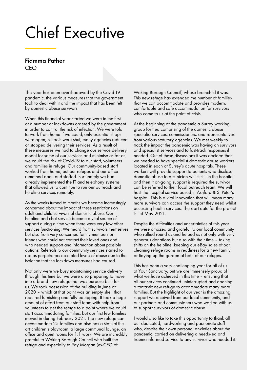## Chief Executive

#### Fiamma Pather CEO

This year has been overshadowed by the Covid-19 pandemic, the various measures that the government took to deal with it and the impact that has been felt by domestic abuse survivors.

When this financial year started we were in the first of a number of lockdowns ordered by the government in order to control the risk of infection. We were told to work from home if we could; only essential shops were open; schools were shut; many agencies reduced or stopped delivering their services. As a result of these measures we had to change our service delivery model for some of our services and minimise as far as we could the risk of Covid-19 to our staff, volunteers and families in refuge. Our community-based staff worked from home, but our refuges and our office remained open and staffed. Fortunately we had already implemented the IT and telephony systems that allowed us to continue to run our outreach and helpline services remotely.

As the weeks turned to months we became increasingly concerned about the impact of these restrictions on adult and child survivors of domestic abuse. Our helpline and chat service became a vital source of support during a time when there were very few other services functioning. We heard from survivors themselves but also from very concerned family members or friends who could not contact their loved ones and who needed support and information about possible options. Referrals to our community services started to rise as perpetrators escalated levels of abuse due to the isolation that the lockdown measures had caused.

Not only were we busy maintaining service delivery through this time but we were also preparing to move into a brand new refuge that was purpose built for us. We took possession of the building in June of 2020 – which at that point was an empty shell that required furnishing and fully equipping. It took a huge amount of effort from our staff team with help from volunteers to get the refuge to a point where we could start accommodating families, but our first few families moved in during February 2021. The new refuge can accommodate 25 families and also has a state-of-theart children's playroom, a large communal lounge, an office and quiet rooms for 1:1 work. We are incredibly grateful to Woking Borough Council who built the refuge and especially to Ray Morgan (ex-CEO of

Woking Borough Council) whose brainchild it was. This new refuge has extended the number of families that we can accommodate and provides modern, comfortable and safe accommodation for survivors who come to us at the point of crisis.

At the beginning of the pandemic a Surrey working group formed comprising of the domestic abuse specialist services, commissioners, and representatives from various statutory agencies. We met weekly to track the impact the pandemic was having on survivors and specialist services and to fast-track responses if needed. Out of these discussions it was decided that we needed to have specialist domestic abuse workers located in each of Surrey's acute hospitals. These workers will provide support to patients who disclose domestic abuse to a clinician whilst still in the hospital and then if on-going support is required the survivor can be referred to their local outreach team. We will host the hospital service based in Ashford & St Peter's hospital. This is a vital innovation that will mean many more survivors can access the support they need whilst accessing health services. The start date for the project is 1st May 2021.

Despite the difficulties and uncertainties of this year we were amazed and grateful to our local community who rallied round us and helped us not only with very generous donations but also with their time – taking shifts on the helpline, keeping our eBay sales afloat, cleaning refuge rooms in readiness for a new family, or tidying up the garden at both of our refuges.

This has been a very challenging year for all of us at Your Sanctuary, but we are immensely proud of what we have achieved in this time – ensuring that all our services continued uninterrupted and opening a fantastic new refuge to accommodate many more families. But the highlight of our year is the amazing support we received from our local community, and our partners and commissioners who worked with us to support survivors of domestic abuse.

I would also like to take this opportunity to thank all our dedicated, hardworking and passionate staff who, despite their own personal anxieties about the pandemic, carried on delivering a needs-led and trauma-informed service to any survivor who needed it.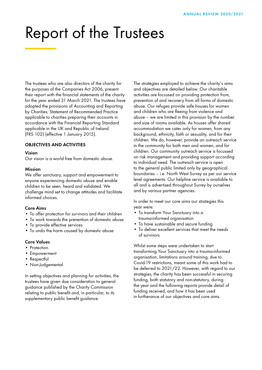## Report of the Trustees

The trustees who are also directors of the charity for the purposes of the Companies Act 2006, present their report with the financial statements of the charity for the year ended 31 March 2021. The trustees have adopted the provisions of Accounting and Reporting by Charities: Statement of Recommended Practice applicable to charities preparing their accounts in accordance with the Financial Reporting Standard applicable in the UK and Republic of Ireland (FRS 102) (effective 1 January 2015).

#### OBJECTIVES AND ACTIVITIES

#### Vision

Our vision is a world free from domestic abuse.

#### Mission

We offer sanctuary, support and empowerment to anyone experiencing domestic abuse and enable children to be seen, heard and validated. We challenge mind set to change attitudes and facilitate informed choices.

#### Core Aims

- To offer protection for survivors and their children
- To work towards the prevention of domestic abuse
- To provide effective services
- To undo the harm caused by domestic abuse

#### Core Values

- Protection
- Empowerment
- Respectful
- Non-Judgemental

In setting objectives and planning for activities, the trustees have given due consideration to general guidance published by the Charity Commission relating to public benefit and, in particular, to its supplementary public benefit guidance.

The strategies employed to achieve the charity's aims and objectives are detailed below. Our charitable activities are focussed on providing protection from, prevention of and recovery from all forms of domestic abuse. Our refuges provide safe houses for women and children who are fleeing from violence and abuse – we are limited in this provision by the number and size of rooms available. As houses offer shared accommodation we cater only for women, from any background, ethnicity, faith or sexuality, and for their children. We do, however, provide an outreach service in the community for both men and women, and for children. Our community outreach service is focussed on risk management and providing support according to individual need. The outreach service is open to the general public limited only by geographical boundaries – i.e. North West Surrey as per our service level agreements. Our helpline service is available to all and is advertised throughout Surrey by ourselves and by various partner agencies.

In order to meet our core aims our strategies this year were:

- To transform Your Sanctuary into a trauma-informed organisation
- To have sustainable and secure funding
- To deliver excellent services that meet the needs of survivors

Whilst some steps were undertaken to start transforming Your Sanctuary into a trauma-informed organisation, limitations around training, due to Covid-19 restrictions, meant some of this work had to be deferred to 2021/22. However, with regard to our strategies, the charity has been successful in securing funding, both statutory and non-statutory, during the year and the following reports provide detail of funding received, and how it has been used in furtherance of our objectives and core aims.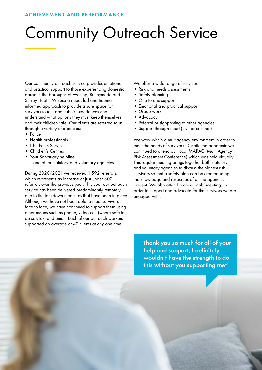#### ACHIEVEMENT AND PERFORMANCE

## Community Outreach Service

Our community outreach service provides emotional and practical support to those experiencing domestic abuse in the boroughs of Woking, Runnymede and Surrey Heath. We use a needs-led and traumainformed approach to provide a safe space for survivors to talk about their experiences and understand what options they must keep themselves and their children safe. Our clients are referred to us through a variety of agencies:

- Police
- Health professionals
- Children's Services
- Children's Centres
- Your Sanctuary helpline ...and other statutory and voluntary agencies

During 2020/2021 we received 1,592 referrals, which represents an increase of just under 300 referrals over the previous year. This year our outreach service has been delivered predominantly remotely due to the lockdown measures that have been in place. Although we have not been able to meet survivors face to face, we have continued to support them using other means such as phone, video call (where safe to do so), text and email. Each of our outreach workers supported an average of 40 clients at any one time.

We offer a wide range of services:

- Risk and needs assessments
- Safety planning
- One to one support
- Emotional and practical support
- Group work
- Advocacy
- Referral or signposting to other agencies
- Support through court (civil or criminal)

We work within a multiagency environment in order to meet the needs of survivors. Despite the pandemic we continued to attend our local MARAC (Multi Agency Risk Assessment Conference) which was held virtually. This regular meeting brings together both statutory and voluntary agencies to discuss the highest risk survivors so that a safety plan can be created using the knowledge and resources of all the agencies present. We also attend professionals' meetings in order to support and advocate for the survivors we are engaged with.

"Thank you so much for all of your help and support, I definitely wouldn't have the strength to do this without you supporting me"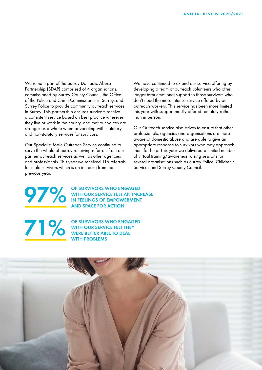We remain part of the Surrey Domestic Abuse Partnership (SDAP) comprised of 4 organisations, commissioned by Surrey County Council, the Office of the Police and Crime Commissioner in Surrey, and Surrey Police to provide community outreach services in Surrey. This partnership ensures survivors receive a consistent service based on best practice wherever they live or work in the county, and that our voices are stronger as a whole when advocating with statutory and non-statutory services for survivors.

Our Specialist Male Outreach Service continued to serve the whole of Surrey receiving referrals from our partner outreach services as well as other agencies and professionals. This year we received 116 referrals for male survivors which is an increase from the previous year.

We have continued to extend our service offering by developing a team of outreach volunteers who offer longer term emotional support to those survivors who don't need the more intense service offered by our outreach workers. This service has been more limited this year with support mostly offered remotely rather than in person.

Our Outreach service also strives to ensure that other professionals, agencies and organisations are more aware of domestic abuse and are able to give an appropriate response to survivors who may approach them for help. This year we delivered a limited number of virtual training/awareness raising sessions for several organisations such as Surrey Police, Children's Services and Surrey County Council.



OF SURVIVORS WHO ENGAGED<br>WITH OUR SERVICE FELT AN INCREDIT IN FEELINGS OF EMPOWERMENT WITH OUR SERVICE FELT AN INCREASE IN FEELINGS OF EMPOWERMENT AND SPACE FOR ACTION

**71 MILLION OF SURVIVORS WHO ENGAGED<br>WITH OUR SERVICE FELT THEY<br>WITH PROBLEMS** WITH OUR SERVICE FELT THEY WERE BETTER ABLE TO DEAL WITH PROBLEMS

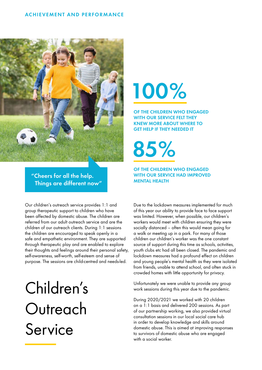#### ACHIEVEMENT AND PERFORMANCE



# 100%

OF THE CHILDREN WHO ENGAGED WITH OUR SERVICE FELT THEY KNEW MORE ABOUT WHERE TO GET HELP IF THEY NEEDED IT

85%

### "Cheers for all the help. Things are different now"

#### OF THE CHILDREN WHO ENGAGED WITH OUR SERVICE HAD IMPROVED MENTAL HEALTH

Our children's outreach service provides 1:1 and group therapeutic support to children who have been affected by domestic abuse. The children are referred from our adult outreach service and are the children of our outreach clients. During 1:1 sessions the children are encouraged to speak openly in a safe and empathetic environment. They are supported through therapeutic play and are enabled to explore their thoughts and feelings around their personal safety, self-awareness, self-worth, self-esteem and sense of purpose. The sessions are child-centred and needs-led.

Children's **Outreach** Service

Due to the lockdown measures implemented for much of this year our ability to provide face to face support was limited. However, when possible, our children's workers would meet with children ensuring they were socially distanced – often this would mean going for a walk or meeting up in a park. For many of those children our children's worker was the one constant source of support during this time as schools, activities, youth clubs etc had all been closed. The pandemic and lockdown measures had a profound effect on children and young people's mental health as they were isolated from friends, unable to attend school, and often stuck in crowded homes with little opportunity for privacy.

Unfortunately we were unable to provide any group work sessions during this year due to the pandemic.

During 2020/2021 we worked with 20 children on a 1:1 basis and delivered 200 sessions. As part of our partnership working, we also provided virtual consultation sessions in our local social care hub in order to develop knowledge and skills around domestic abuse. This is aimed at improving responses to survivors of domestic abuse who are engaged with a social worker.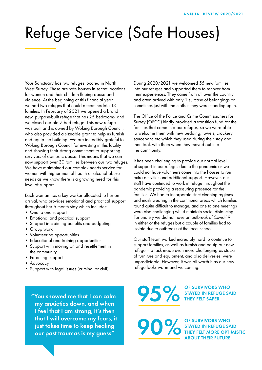## Refuge Service (Safe Houses)

Your Sanctuary has two refuges located in North West Surrey. These are safe houses in secret locations for women and their children fleeing abuse and violence. At the beginning of this financial year we had two refuges that could accommodate 13 families. In February of 2021 we opened a brand new, purpose-built refuge that has 25 bedrooms, and we closed our old 7 bed refuge. This new refuge was built and is owned by Woking Borough Council, who also provided a sizeable grant to help us furnish and equip the building. We are incredibly grateful to Woking Borough Council for investing in this facility and showing their strong commitment to supporting survivors of domestic abuse. This means that we can now support over 30 families between our two refuges. We have maintained our complex needs service for women with higher mental health or alcohol abuse needs as we know there is a growing need for this level of support.

Each woman has a key worker allocated to her on arrival, who provides emotional and practical support throughout her 6 month stay which includes:

- One to one support
- Emotional and practical support
- Support in claiming benefits and budgeting
- Group work
- Volunteering opportunities
- Educational and training opportunities
- Support with moving on and resettlement in the community
- Parenting support
- Advocacy
- Support with legal issues (criminal or civil)

"You showed me that I can calm my anxieties down, and when I feel that I am strong, it's then that I will overcome my fears, it just takes time to keep healing our past traumas is my guess"

During 2020/2021 we welcomed 55 new families into our refuges and supported them to recover from their experiences. They came from all over the country and often arrived with only 1 suitcase of belongings or sometimes just with the clothes they were standing up in.

The Office of the Police and Crime Commissioners for Surrey (OPCC) kindly provided a transition fund for the families that came into our refuges, so we were able to welcome them with new bedding, towels, crockery, saucepans etc which they used during their stay and then took with them when they moved out into the community.

It has been challenging to provide our normal level of support in our refuges due to the pandemic as we could not have volunteers come into the houses to run extra activities and additional support. However, our staff have continued to work in refuge throughout the pandemic providing a reassuring presence for the families. We had to incorporate strict cleaning regimes and mask wearing in the communal areas which families found quite difficult to manage, and one to one meetings were also challenging whilst maintain social distancing. Fortunately we did not have an outbreak of Covid-19 in either of the refuges but a couple of families had to isolate due to outbreaks at the local school.

Our staff team worked incredibly hard to continue to support families, as well as furnish and equip our new refuge – a task made even more challenging as stocks of furniture and equipment, and also deliveries, were unpredictable. However, it was all worth it as our new refuge looks warm and welcoming.

**95% OF SURVIVORS WHO STAYED IN REFUGE SA** 

STAYED IN REFUGE SAID THEY FELT SAFER

**90% OF SURVIVORS WHO STAYED IN REFUGE SA THEY FELT MORE OPTI.** 

STAYED IN REFUGE SAID THEY FELT MORE OPTIMISTIC ABOUT THEIR FUTURE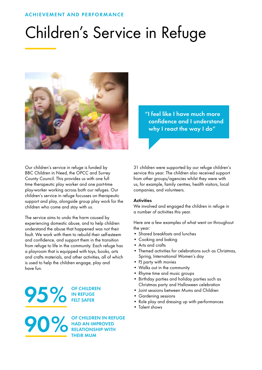#### ACHIEVEMENT AND PERFORMANCE

## Children's Service in Refuge



Our children's service in refuge is funded by BBC Children in Need, the OPCC and Surrey County Council. This provides us with one full time therapeutic play worker and one part-time play-worker working across both our refuges. Our children's service in refuge focusses on therapeutic support and play, alongside group play work for the children who come and stay with us.

The service aims to undo the harm caused by experiencing domestic abuse, and to help children understand the abuse that happened was not their fault. We work with them to rebuild their self-esteem and confidence, and support them in the transition from refuge to life in the community. Each refuge has a playroom that is equipped with toys, books, arts and crafts materials, and other activities, all of which is used to help the children engage, play and have fun.

**95% OF CHILDREN**<br>FELT SAFER

**90%** OF CHILDREN IN REFUGE<br>RELATIONSHIP WITH

THEIR MUM

IN REFUGE FELT SAFER

HAD AN IMPROVED RELATIONSHIP WITH "I feel like I have much more confidence and I understand why I react the way I do"

31 children were supported by our refuge children's service this year. The children also received support from other groups/agencies whilst they were with us, for example, family centres, health visitors, local companies, and volunteers.

#### **Activities**

We involved and engaged the children in refuge in a number of activities this year.

Here are a few examples of what went on throughout the year:

- Shared breakfasts and lunches
- Cooking and baking
- Arts and crafts
- Themed activities for celebrations such as Christmas, Spring, International Women's day
- PJ party with movies
- Walks out in the community
- Rhyme time and music groups
- Birthday parties and holiday parties such as Christmas party and Halloween celebration
- Joint sessions between Mums and Children
- Gardening sessions
- Role play and dressing up with performances
- Talent shows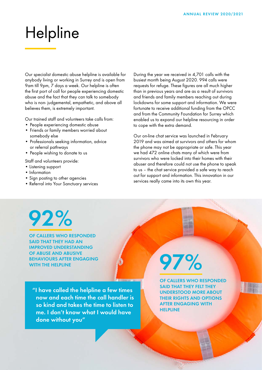## Helpline

Our specialist domestic abuse helpline is available for anybody living or working in Surrey and is open from 9am till 9pm, 7 days a week. Our helpline is often the first port of call for people experiencing domestic abuse and the fact that they can talk to somebody who is non- judgemental, empathetic, and above all believes them, is extremely important.

Our trained staff and volunteers take calls from:

- People experiencing domestic abuse
- Friends or family members worried about somebody else
- Professionals seeking information, advice or referral pathways
- People wishing to donate to us

Staff and volunteers provide:

- Listening support
- Information
- Sign posting to other agencies
- Referral into Your Sanctuary services

During the year we received in 4,701 calls with the busiest month being August 2020. 994 calls were requests for refuge. These figures are all much higher than in previous years and are as a result of survivors and friends and family members reaching out during lockdowns for some support and information. We were fortunate to receive additional funding from the OPCC and from the Community Foundation for Surrey which enabled us to expand our helpline resourcing in order to cope with the extra demand.

Our on-line chat service was launched in February 2019 and was aimed at survivors and others for whom the phone may not be appropriate or safe. This year we had 472 online chats many of which were from survivors who were locked into their homes with their abuser and therefore could not use the phone to speak to us – the chat service provided a safe way to reach out for support and information. This innovation in our services really came into its own this year.

92%

OF CALLERS WHO RESPONDED SAID THAT THEY HAD AN IMPROVED UNDERSTANDING OF ABUSE AND ABUSIVE BEHAVIOURS AFTER ENGAGING WITH THE HELPLINE

"I have called the helpline a few times now and each time the call handler is so kind and takes the time to listen to me. I don't know what I would have done without you"

97%

OF CALLERS WHO RESPONDED SAID THAT THEY FELT THEY UNDERSTOOD MORE ABOUT THEIR RIGHTS AND OPTIONS AFTER ENGAGING WITH **HELPLINE**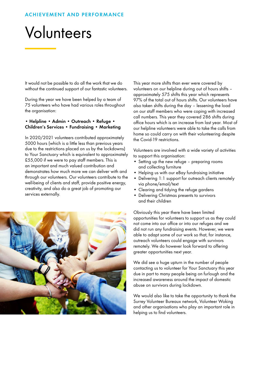#### ACHIEVEMENT AND PERFORMANCE

## Volunteers

It would not be possible to do all the work that we do without the continued support of our fantastic volunteers.

During the year we have been helped by a team of 75 volunteers who have had various roles throughout the organisation:

#### • Helpline • Admin • Outreach • Refuge • Children's Services • Fundraising • Marketing

In 2020/2021 volunteers contributed approximately 5000 hours (which is a little less than previous years due to the restrictions placed on us by the lockdowns) to Your Sanctuary which is equivalent to approximately £55,000 if we were to pay staff members. This is an important and much valued contribution and demonstrates how much more we can deliver with and through our volunteers. Our volunteers contribute to the well-being of clients and staff, provide positive energy, creativity, and also do a great job of promoting our services externally.



This year more shifts than ever were covered by volunteers on our helpline during out of hours shifts – approximately 575 shifts this year which represents 97% of the total out of hours shifts. Our volunteers have also taken shifts during the day – lessening the load on our staff members who were coping with increased call numbers. This year they covered 286 shifts during office hours which is an increase from last year. Most of our helpline volunteers were able to take the calls from home so could carry on with their volunteering despite the Covid-19 restrictions.

Volunteers are involved with a wide variety of activities to support this organisation:

- Setting up the new refuge preparing rooms and collecting furniture
- Helping us with our eBay fundraising initiative
- Delivering 1:1 support for outreach clients remotely via phone/email/text
- Clearing and tidying the refuge gardens
- Delivering Christmas presents to survivors and their children

Obviously this year there have been limited opportunities for volunteers to support us as they could not come into our office or into our refuges and we did not run any fundraising events. However, we were able to adapt some of our work so that, for instance, outreach volunteers could engage with survivors remotely. We do however look forward to offering greater opportunities next year.

We did see a huge upturn in the number of people contacting us to volunteer for Your Sanctuary this year due in part to many people being on furlough and the increased awareness around the impact of domestic abuse on survivors during lockdown.

We would also like to take the opportunity to thank the Surrey Volunteer Bureaux network, Volunteer Woking and other organisations who play an important role in helping us to find volunteers.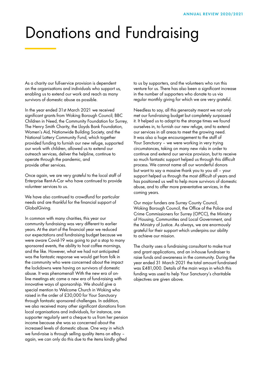## Donations and Fundraising

As a charity our full-service provision is dependent on the organisations and individuals who support us, enabling us to extend our work and reach as many survivors of domestic abuse as possible.

In the year ended 31st March 2021 we received significant grants from Woking Borough Council; BBC Children in Need, the Community Foundation for Surrey, The Henry Smith Charity, the Lloyds Bank Foundation, Women's Aid, Nationwide Building Society, and the National Lottery Community Fund, which together provided funding to furnish our new refuge, supported our work with children, allowed us to extend our outreach services, deliver the helpline, continue to operate through the pandemic, and provide other services.

Once again, we are very grateful to the local staff of Enterprise Rent-A-Car who have continued to provide volunteer services to us.

We have also continued to crowdfund for particular needs and are thankful for the financial support of GlobalGiving.

In common with many charities, this year our community fundraising was very different to earlier years. At the start of the financial year we reduced our expectations and fundraising budget because we were aware Covid-19 was going to put a stop to many sponsored events, the ability to host coffee mornings, and the like. However, what we had not anticipated was the fantastic response we would get from folk in the community who were concerned about the impact the lockdowns were having on survivors of domestic abuse. It was phenomenal! With the new era of online meetings etc came a new era of fund-raising with innovative ways of sponsorship. We should give a special mention to Welcome Church in Woking who raised in the order of £30,000 for Your Sanctuary through fantastic sponsored challenges. In addition, we also received many other significant donations from local organisations and individuals, for instance, one supporter regularly sent a cheque to us from her pension income because she was so concerned about the increased levels of domestic abuse. One way in which we fund-raise is through selling quality items on eBay – again, we can only do this due to the items kindly gifted

to us by supporters, and the volunteers who run this venture for us. There has also been a significant increase in the number of supporters who donate to us via regular monthly giving for which we are very grateful.

Needless to say, all this generosity meant we not only met our fund-raising budget but completely surpassed it. It helped us to adapt to the strange times we found ourselves in, to furnish our new refuge, and to extend our services in all areas to meet the growing need. It was also a huge encouragement to the staff of Your Sanctuary – we were working in very trying circumstances, taking on many new risks in order to continue and extend our service provision, but to receive so much fantastic support helped us through this difficult process. We cannot name all our wonderful donors but want to say a massive thank you to you all – your support helped us through the most difficult of years and has positioned us well to help more survivors of domestic abuse, and to offer more preventative services, in the coming years.

Our major funders are Surrey County Council, Woking Borough Council, the Office of the Police and Crime Commissioners for Surrey (OPCC), the Ministry of Housing, Communities and Local Government, and the Ministry of Justice. As always, we are enormously grateful for their support which underpins our ability to achieve our mission.

The charity uses a fundraising consultant to make trust and grant applications, and an in-house fundraiser to raise funds and awareness in the community. During the year ended 31 March 2021 the total amount fundraised was £481,000. Details of the main ways in which this funding was used to help Your Sanctuary's charitable objectives are given above.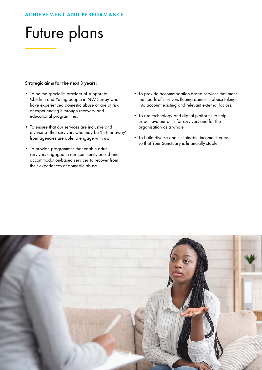#### ACHIEVEMENT AND PERFORMANCE

## Future plans

#### Strategic aims for the next 3 years:

- To be the specialist provider of support to Children and Young people in NW Surrey who have experienced domestic abuse or are at risk of experiencing it through recovery and educational programmes.
- To ensure that our services are inclusive and diverse so that survivors who may be 'further away' from agencies are able to engage with us.
- To provide programmes that enable adult survivors engaged in our community-based and accommodation-based services to recover from their experiences of domestic abuse.
- To provide accommodation-based services that meet the needs of survivors fleeing domestic abuse taking into account existing and relevant external factors.
- To use technology and digital platforms to help us achieve our aims for survivors and for the organisation as a whole
- To build diverse and sustainable income streams so that Your Sanctuary is financially stable.

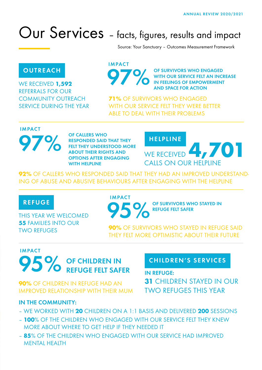## Our Services – facts, figures, results and impact

Source: Your Sanctuary – Outcomes Measurement Framework

### **OUTREACH**

WE RECEIVED **1,592** REFERRALS FOR OUR COMMUNITY OUTREACH SERVICE DURING THE YEAR

## IMPACT



OF SURVIVORS WHO ENGAGED WITH OUR SERVICE FELT AN INCREASE OF EMPOWERMENT AND SPACE FOR ACTION

**71%** OF SURVIVORS WHO ENGAGED WITH OUR SERVICE FELT THEY WERE BETTER ABLE TO DEAL WITH THEIR PROBLEMS

### IMPACT



RESPONDED SAID THAT THEY FELT THEY UNDERSTOOD MORE ABOUT THEIR RIGHTS AND OPTIONS AFTER ENGAGING WITH HELPLINE

### **HELPLINE**

WE RECEIVED CALLS ON OUR HELPLINE **4,701**

**92%** OF CALLERS WHO RESPONDED SAID THAT THEY HAD AN IMPROVED UNDERSTAND-ING OF ABUSE AND ABUSIVE BEHAVIOURS AFTER ENGAGING WITH THE HELPLINE

IMPACT

### REFUGE

THIS YEAR WE WELCOMED **55** FAMILIES INTO OUR TWO REFUGES

95% OF SURVIVORS WHO STAYED IN REFUGE FELT SAFER

**90%** OF SURVIVORS WHO STAYED IN REFUGE SAID THEY FELT MORE OPTIMISTIC ABOUT THEIR FUTURE

### IMPACT 95% OF CHILDREN IN REFUGE FELT SAFER

**90%** OF CHILDREN IN REFUGE HAD AN IMPROVED RELATIONSHIP WITH THEIR MUM

### IN THE COMMUNITY:

- WE WORKED WITH **20** CHILDREN ON A 1:1 BASIS AND DELIVERED **200** SESSIONS
- **100**% OF THE CHILDREN WHO ENGAGED WITH OUR SERVICE FELT THEY KNEW MORE ABOUT WHERE TO GET HELP IF THEY NEEDED IT
- **85**% OF THE CHILDREN WHO ENGAGED WITH OUR SERVICE HAD IMPROVED MENTAL HEALTH

### CHILDREN'S SERVICES

IN REFUGE:

**31** CHILDREN STAYED IN OUR TWO REFUGES THIS YEAR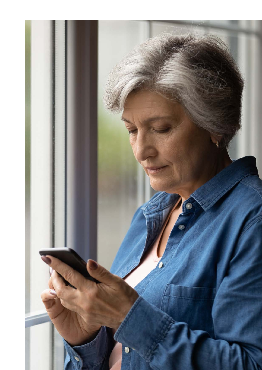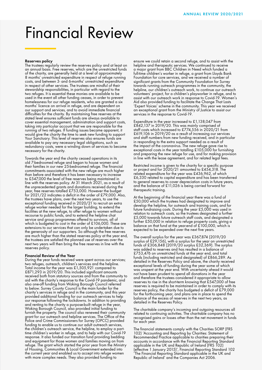## Financial Review

#### Reserves policy

The trustees regularly review the reserves policy and at least on an annual basis. Free reserves, which are the unrestricted funds of the charity, are generally held at a level of approximately 8 months' unrestricted expenditure in respect of refuge running costs, and between 3- and 6-months' unrestricted expenditure in respect of other services. The trustees are mindful of their stewardship responsibilities, in particular with regard to the two refuges. It is essential these monies are available to be used in the event all other funding ceases, in order to prevent homelessness for our refuge residents, who are granted a six months' licence on arrival in refuge, and are dependent on our support and services, and to avoid immediate financial difficulties for the charity. By maintaining free reserves at the stated level ensures sufficient funds are always available to cover essential management, administration and support costs, taking into particular account that we are responsible for the running of two refuges. If funding issues became apparent, it would give the charity the time to seek new funding to support Your Sanctuary. This level of reserves also ensures funds are available to pay any necessary legal obligations, such as redundancy costs, were a winding down of services to become necessary for the charity.

Towards the year end the charity ceased operations in its old 7-bedroomed refuge and began to house women and their families in our new 25-bedroomed refuge. The financial commitments associated with the new refuge are much higher than before and therefore it has been necessary to increase to £547,000 the level of free reserves being maintained in line with the reserves policy. At 31 March 2021, as a result of the unprecedented grants and donations received during the year, free reserves totalled £753,000. However the budget for 2021/22 indicates a deficit in the order of £79,000. Also, the trustees have plans, over the next two years, to use the exceptional funding received in 2020/21 to recruit an extra refuge worker needed for the larger building, to extend the facilities at the new refuge, to offer refuge to women without recourse to public funds, and to extend the helpline chat service and group programmes offered to survivors, all of which is budgeted to cost in the order of £106,000. These are extensions to our services that can only be undertaken due to the generosity of our supporters. So although the free reserves are much higher than the stated reserves policy at the year end, the trustees are satisfied the planned use of reserves over the next two years will then bring the free reserves in line with the reserves policy.

#### Financial Review of the Year

During the year funds received were spent across our services; two refuges, outreach, children's services and the helpline. Total income for the year was £1,505,921 compared to £871,293 in 2019/20. This included significant amounts received both from statutory sources and from the community to aid with the charity's response to the Covid-19 pandemic, and also one-off funding from Woking Borough Council referred to below. Surrey County Council is the main funder for the charity's services in refuge and in the community, and this year provided additional funding for our outreach services to help our response following the lockdowns. In addition to providing and renting to the charity a purpose-built refuge in the year, Woking Borough Council, also provided initial funding to furnish the property. The council also renewed their community grant for our outreach and helpline services. The Office of the Police and Crime Commissioners for Surrey (OPCC) provided funding to enable us to continue our adult outreach services, the children's outreach service, the helpline, to employ a parttime children's worker in refuge, and to help with our Covid-19 response. It also funded our transition fund providing bedding and equipment for those women and families moving on from refuge. The grant which started the prior year from the Ministry of Housing, Communities & Local Government extended into the current year and enabled us to accept into refuge women with more complex needs. They also provided funding to

ensure we could retain a second refuge, and to assist with the helpline and therapeutic services. We continued to receive a major grant from BBC Children in Need which funded a full-time children's worker in refuge, a grant from Lloyds Bank Foundation for core services, and we received a number of significant grants from the Community Foundation for Surrey towards running outreach programmes in the community, the helpline, our children's outreach work, to continue our outreach volunteers' project, for a children's playworker in refuge, and to assist with our outreach work in response to Covid-19. Women's Aid also provided funding to facilitate the Change That Lasts 'Expert Voices' scheme in the community. This year we received an exceptional grant from the Ministry of Justice to assist our services in the response to Covid-19.

Expenditure in the year increased to £1,138,047 from £842,137 in 2019/20. This was mainly comprised of staff costs which increased to £774,556 in 2020/21 from £619,106 in 2019/20 as a result of increasing our services and staff numbers from new funding received, and in particular in responding to the extra support needed as a result of the impact of the coronavirus. The new refuge gave rise to exceptional costs in the year totalling £105,000 for furnishing and preparing the new refuge for use, and for making provision in line with the lease agreement, and for related legal fees.

Restricted income is given to the charity for a specific purpose or project and for 2020/21 amounted to £454,318. The related expenditure for the year was £436,962, of which £6,330 related to capital expenditure and has been transferred to general reserves to cover depreciation costs in future years, and the balance of £11,026 is being carried forward for therapeutic training.

At the beginning of the financial year there was a fund of £50,000 which the trustees had designated to improve and develop the helpline, for outreach and training costs, and for future fundraising costs. During the year £5,000 was used in relation to outreach costs, so the trustees designated a further £5,000 towards future outreach staff costs, and designated a further £50,000 in relation to refuge property costs, giving a balance on that fund at the year-end of £100,000, which is expected to be expended over the next five years.

The overall surplus for the year was £367,874 (2019/20 surplus of £29,156), with a surplus for the year on unrestricted funds of £306,848 (2019/20 surplus £32,369). The surplus was added to reserves and has resulted in a balance of £753,476 on unrestricted funds at the year end, and total funds (including restricted and designated) of £866,289. As detailed in the Reserves Policy and above, the charity received exceptional levels of funding during the year some of which was unspent at the year end. With uncertainty ahead it would not have been prudent to spend all donations in the year and therefore the trustees considered it appropriate to allow reserves to rise in the short-term knowing that £547,000 of free reserves is required to be maintained in order to comply with its reserves policy, the charity has budgeted a deficit of £79,000 for the forthcoming year, and plans are in place to spend the balance of the excess of reserves in the next two years, as detailed in the Reserves Policy.

The charitable company's incoming and outgoing resources all related to continuing activities. The charitable company has no recognised gains or losses other than the net movement in funds for each year.

The financial statements comply with the Charities SORP (FRS 102) 'Accounting and Reporting by Charities: Statement of Recommended Practice applicable to charities preparing their accounts in accordance with the Financial Reporting Standard applicable in the UK and Republic of Ireland (FRS 102) (effective 1 January 2015)', Financial Reporting Standard 102 'The Financial Reporting Standard applicable in the UK and Republic of Ireland' and the Companies Act 2006.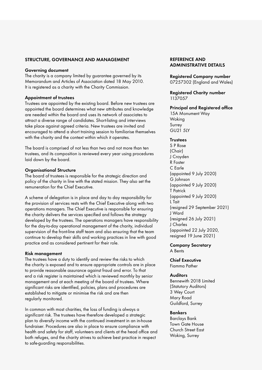#### STRUCTURE, GOVERNANCE AND MANAGEMENT

#### Governing document

The charity is a company limited by guarantee governed by its Memorandum and Articles of Association dated 18 May 2010. It is registered as a charity with the Charity Commission.

#### Appointment of trustees

Trustees are appointed by the existing board. Before new trustees are appointed the board determines what new attributes and knowledge are needed within the board and uses its network of associates to attract a diverse range of candidates. Short-listing and interviews take place against agreed criteria. New trustees are invited and encouraged to attend a short training session to familiarise themselves with the charity and the context within which it operates.

The board is comprised of not less than two and not more than ten trustees, and its composition is reviewed every year using procedures laid down by the board.

#### Organisational Structure

The board of trustees is responsible for the strategic direction and policy of the charity in line with the stated mission. They also set the remuneration for the Chief Executive.

A scheme of delegation is in place and day to day responsibility for the provision of services rests with the Chief Executive along with two operations managers. The Chief Executive is responsible for ensuring the charity delivers the services specified and follows the strategy developed by the trustees. The operations managers have responsibility for the day-to-day operational management of the charity, individual supervision of the front-line staff team and also ensuring that the team continue to develop their skills and working practices in line with good practice and as considered pertinent for their role.

#### Risk management

The trustees have a duty to identify and review the risks to which the charity is exposed and to ensure appropriate controls are in place to provide reasonable assurance against fraud and error. To that end a risk register is maintained which is reviewed monthly by senior management and at each meeting of the board of trustees. Where significant risks are identified, policies, plans and procedures are established to mitigate or minimise the risk and are then regularly monitored.

In common with most charities, the loss of funding is always a significant risk. The trustees have therefore developed a strategic plan to diversify income with the continued investment in an in-house fundraiser. Procedures are also in place to ensure compliance with health and safety for staff, volunteers and clients at the head office and both refuges, and the charity strives to achieve best practice in respect to safe-guarding responsibilities.

#### REFERENCE AND ADMINISTRATIVE DETAILS

#### Registered Company number

07257302 (England and Wales)

#### Registered Charity number 1137057

#### Principal and Registered office

15A Monument Way Woking Surrey GU21 5LY

#### **Trustees**

S P Rose (Chair) J Croyden R Foster C Earle (appointed 9 July 2020) G Johnson (appointed 9 July 2020) T Patrick (appointed 9 July 2020) L Tait (resigned 29 September 2021) J Ward (resigned 26 July 2021) J Charles (appointed 22 July 2020, resigned 19 June 2021)

#### Company Secretary

A Bents

#### Chief Executive Fiamma Pather

#### Auditors

Bennewith 2018 Limited (Statutory Auditors) 3 Wey Court Mary Road Guildford, Surrey

#### Bankers

Barclays Bank Town Gate House Church Street East Woking, Surrey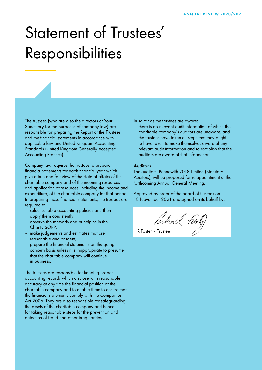## Statement of Trustees' Responsibilities

The trustees (who are also the directors of Your Sanctuary for the purposes of company law) are responsible for preparing the Report of the Trustees and the financial statements in accordance with applicable law and United Kingdom Accounting Standards (United Kingdom Generally Accepted Accounting Practice).

Company law requires the trustees to prepare financial statements for each financial year which give a true and fair view of the state of affairs of the charitable company and of the incoming resources and application of resources, including the income and expenditure, of the charitable company for that period. In preparing those financial statements, the trustees are required to

- select suitable accounting policies and then apply them consistently;
- observe the methods and principles in the Charity SORP;
- make judgements and estimates that are reasonable and prudent;
- prepare the financial statements on the going concern basis unless it is inappropriate to presume that the charitable company will continue in business.

The trustees are responsible for keeping proper accounting records which disclose with reasonable accuracy at any time the financial position of the charitable company and to enable them to ensure that the financial statements comply with the Companies Act 2006. They are also responsible for safeguarding the assets of the charitable company and hence for taking reasonable steps for the prevention and detection of fraud and other irregularities.

In so far as the trustees are aware:

- there is no relevant audit information of which the charitable company's auditors are unaware; and
- the trustees have taken all steps that they ought to have taken to make themselves aware of any relevant audit information and to establish that the auditors are aware of that information.

#### Auditors

The auditors, Bennewith 2018 Limited (Statutory Auditors), will be proposed for re-appointment at the forthcoming Annual General Meeting.

Approved by order of the board of trustees on 18 November 2021 and signed on its behalf by:

Phonel For

R Foster – Trustee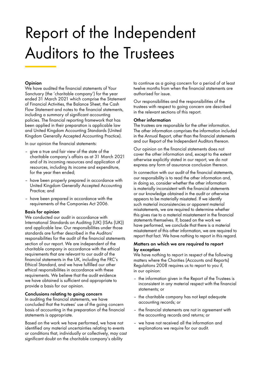## Report of the Independent Auditors to the Trustees

#### Opinion

We have audited the financial statements of Your Sanctuary (the 'charitable company') for the year ended 31 March 2021 which comprise the Statement of Financial Activities, the Balance Sheet, the Cash Flow Statement and notes to the financial statements, including a summary of significant accounting policies. The financial reporting framework that has been applied in their preparation is applicable law and United Kingdom Accounting Standards (United Kingdom Generally Accepted Accounting Practice).

In our opinion the financial statements:

- give a true and fair view of the state of the charitable company's affairs as at 31 March 2021 and of its incoming resources and application of resources, including its income and expenditure, for the year then ended;
- have been properly prepared in accordance with United Kingdom Generally Accepted Accounting Practice; and
- have been prepared in accordance with the requirements of the Companies Act 2006.

#### Basis for opinion

We conducted our audit in accordance with International Standards on Auditing (UK) (ISAs (UK)) and applicable law. Our responsibilities under those standards are further described in the Auditors' responsibilities for the audit of the financial statements section of our report. We are independent of the charitable company in accordance with the ethical requirements that are relevant to our audit of the financial statements in the UK, including the FRC's Ethical Standard, and we have fulfilled our other ethical responsibilities in accordance with these requirements. We believe that the audit evidence we have obtained is sufficient and appropriate to provide a basis for our opinion.

#### Conclusions relating to going concern

In auditing the financial statements, we have concluded that the trustees' use of the going concern basis of accounting in the preparation of the financial statements is appropriate.

Based on the work we have performed, we have not identified any material uncertainties relating to events or conditions that, individually or collectively, may cast significant doubt on the charitable company's ability

to continue as a going concern for a period of at least twelve months from when the financial statements are authorised for issue.

Our responsibilities and the responsibilities of the trustees with respect to going concern are described in the relevant sections of this report.

#### Other information

The trustees are responsible for the other information. The other information comprises the information included in the Annual Report, other than the financial statements and our Report of the Independent Auditors thereon.

Our opinion on the financial statements does not cover the other information and, except to the extent otherwise explicitly stated in our report, we do not express any form of assurance conclusion thereon.

In connection with our audit of the financial statements, our responsibility is to read the other information and, in doing so, consider whether the other information is materially inconsistent with the financial statements or our knowledge obtained in the audit or otherwise appears to be materially misstated. If we identify such material inconsistencies or apparent material misstatements, we are required to determine whether this gives rise to a material misstatement in the financial statements themselves. If, based on the work we have performed, we conclude that there is a material misstatement of this other information, we are required to report that fact. We have nothing to report in this regard.

#### Matters on which we are required to report by exception

We have nothing to report in respect of the following matters where the Charities (Accounts and Reports) Regulations 2008 requires us to report to you if, in our opinion:

- the information given in the Report of the Trustees is inconsistent in any material respect with the financial statements; or
- the charitable company has not kept adequate accounting records; or
- the financial statements are not in agreement with the accounting records and returns; or
- we have not received all the information and explanations we require for our audit.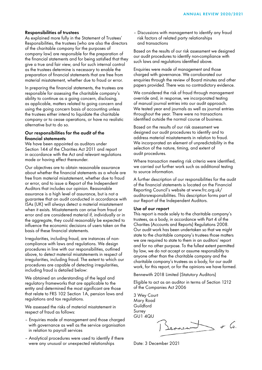#### Responsibilities of trustees

As explained more fully in the Statement of Trustees' Responsibilities, the trustees (who are also the directors of the charitable company for the purposes of company law) are responsible for the preparation of the financial statements and for being satisfied that they give a true and fair view, and for such internal control as the trustees determine is necessary to enable the preparation of financial statements that are free from material misstatement, whether due to fraud or error.

In preparing the financial statements, the trustees are responsible for assessing the charitable company's ability to continue as a going concern, disclosing, as applicable, matters related to going concern and using the going concern basis of accounting unless the trustees either intend to liquidate the charitable company or to cease operations, or have no realistic alternative but to do so.

#### Our responsibilities for the audit of the financial statements

We have been appointed as auditors under Section 144 of the Charities Act 2011 and report in accordance with the Act and relevant regulations made or having effect thereunder.

Our objectives are to obtain reasonable assurance about whether the financial statements as a whole are free from material misstatement, whether due to fraud or error, and to issue a Report of the Independent Auditors that includes our opinion. Reasonable assurance is a high level of assurance, but is not a guarantee that an audit conducted in accordance with ISAs (UK) will always detect a material misstatement when it exists. Misstatements can arise from fraud or error and are considered material if, individually or in the aggregate, they could reasonably be expected to influence the economic decisions of users taken on the basis of these financial statements.

Irregularities, including fraud, are instances of noncompliance with laws and regulations. We design procedures in line with our responsibilities, outlined above, to detect material misstatements in respect of irregularities, including fraud. The extent to which our procedures are capable of detecting irregularities, including fraud is detailed below:

We obtained an understanding of the legal and regulatory frameworks that are applicable to the entity and determined the most significant are those that relate to FRS 102 Section 1A, pension laws and regulations and tax regulations.

We assessed the risks of material misstatement in respect of fraud as follows:

- Enquiries made of management and those charged with governance as well as the service organisation in relation to payroll services
- Analytical procedures were used to identify if there were any unusual or unexpected relationships

– Discussions with management to identify any fraud risk factors of related party relationships and transactions

Based on the results of our risk assessment we designed our audit procedures to identify non-compliance with such laws and regulations identified above.

Enquiries were made of management and those charged with governance. We corroborated our enquiries through the review of Board minutes and other papers provided. There was no contradictory evidence.

We considered the risk of fraud through management override and, in response, we incorporated testing of manual journal entries into our audit approach. We tested year end journals as well as journal entries throughout the year. There were no transactions identified outside the normal course of business.

Based on the results of our risk assessment we designed our audit procedures to identify and to address material misstatements in relation to fraud. We incorporated an element of unpredictability in the selection of the nature, timing, and extent of audit procedures.

Where transaction meeting risk criteria were identified, we carried out further work such as additional testing to source information.

A further description of our responsibilities for the audit of the financial statements is located on the Financial Reporting Council's website at www.frc.org.uk/ auditorsresponsibilities. This description forms part of our Report of the Independent Auditors.

#### Use of our report

This report is made solely to the charitable company's trustees, as a body, in accordance with Part 4 of the Charities (Accounts and Reports) Regulations 2008. Our audit work has been undertaken so that we might state to the charitable company's trustees those matters we are required to state to them in an auditors' report and for no other purpose. To the fullest extent permitted by law, we do not accept or assume responsibility to anyone other than the charitable company and the charitable company's trustees as a body, for our audit work, for this report, or for the opinions we have formed.

Bennewith 2018 Limited (Statutory Auditors)

Eligible to act as an auditor in terms of Section 1212 of the Companies Act 2006

3 Wey Court Mary Road Guildford Surrey GU1 4QU

 $-$  + 6

Date: 3 December 2021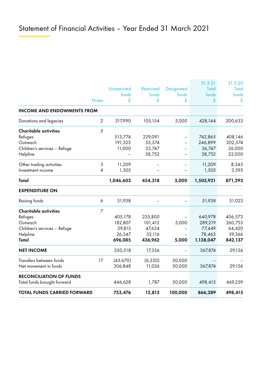## Statement of Financial Activities – Year Ended 31 March 2021

|                           |                                                                                         |                   |                          | 31.3.21   | 31.3.20 |
|---------------------------|-----------------------------------------------------------------------------------------|-------------------|--------------------------|-----------|---------|
|                           | <b>Unrestricted</b>                                                                     | <b>Restricted</b> | Designated               | Total     | Total   |
|                           | funds                                                                                   | funds             | funds                    | funds     | funds   |
|                           | £                                                                                       | £                 | £                        | £         | £       |
|                           |                                                                                         |                   |                          |           |         |
| $\overline{2}$            | 317,990                                                                                 | 105,154           | 5,000                    | 428,144   | 200,633 |
| 5                         |                                                                                         |                   |                          |           |         |
|                           | 513,774                                                                                 | 229,091           | $\overline{\phantom{0}}$ | 742,865   | 408,146 |
|                           | 191,325                                                                                 | 55,574            |                          | 246,899   | 202,574 |
|                           | 11,000                                                                                  | 25,747            |                          | 36,747    | 26,000  |
|                           |                                                                                         | 38,752            |                          | 38,752    | 22,000  |
| $\ensuremath{\mathsf{3}}$ | 11,209                                                                                  |                   |                          | 11,209    | 8,345   |
| $\overline{\mathcal{A}}$  | 1,305                                                                                   |                   |                          | 1,305     | 3,595   |
|                           | 1,046,603                                                                               | 454,318           | 5,000                    | 1,505,921 | 871,293 |
|                           |                                                                                         |                   |                          |           |         |
| 6                         | 51,938                                                                                  |                   |                          | 51,938    | 51,023  |
| $\overline{7}$            |                                                                                         |                   |                          |           |         |
|                           | 405,178                                                                                 | 235,800           |                          | 640,978   | 406,573 |
|                           | 182,807                                                                                 | 101,412           | 5,000                    | 289,219   | 260,755 |
|                           | 29,815                                                                                  | 47,634            |                          | 77,449    | 64,420  |
|                           | 26,347                                                                                  | 52,116            |                          | 78,463    | 59,366  |
|                           | 696,085                                                                                 | 436,962           | 5,000                    | 1,138,047 | 842,137 |
|                           | 350,518                                                                                 | 17,356            |                          | 367,874   | 29,156  |
| 17                        | (43,670)                                                                                | (6, 330)          | 50,000                   |           |         |
|                           | 306,848                                                                                 | 11,026            | 50,000                   | 367,874   | 29,156  |
|                           |                                                                                         |                   |                          |           |         |
|                           | 446,628                                                                                 | 1,787             | 50,000                   | 498,415   | 469,259 |
|                           | 753,476                                                                                 | 12,813            | 100,000                  | 866,289   | 498,415 |
|                           | <b>Notes</b><br><b>INCOME AND ENDOWMENTS FROM</b><br><b>TOTAL FUNDS CARRIED FORWARD</b> |                   |                          |           |         |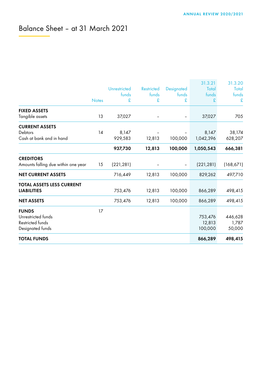## Balance Sheet – at 31 March 2021

|                                     |              |              |                   |            | 31.3.21    | 31.3.20    |
|-------------------------------------|--------------|--------------|-------------------|------------|------------|------------|
|                                     |              | Unrestricted | <b>Restricted</b> | Designated | Total      | Total      |
|                                     |              | funds        | funds             | funds      | funds      | funds      |
|                                     | <b>Notes</b> | £            | £                 | £          | £          | £          |
| <b>FIXED ASSETS</b>                 |              |              |                   |            |            |            |
| Tangible assets                     | 13           | 37,027       |                   |            | 37,027     | 705        |
| <b>CURRENT ASSETS</b>               |              |              |                   |            |            |            |
| Debtors                             | 14           | 8,147        |                   |            | 8,147      | 38,174     |
| Cash at bank and in hand            |              | 929,583      | 12,813            | 100,000    | 1,042,396  | 628,207    |
|                                     |              | 937,730      | 12,813            | 100,000    | 1,050,543  | 666,381    |
| <b>CREDITORS</b>                    |              |              |                   |            |            |            |
| Amounts falling due within one year | 15           | (221, 281)   |                   |            | (221, 281) | (168, 671) |
| <b>NET CURRENT ASSETS</b>           |              | 716,449      | 12,813            | 100,000    | 829,262    | 497,710    |
| <b>TOTAL ASSETS LESS CURRENT</b>    |              |              |                   |            |            |            |
| <b>LIABILITIES</b>                  |              | 753,476      | 12,813            | 100,000    | 866,289    | 498,415    |
| <b>NET ASSETS</b>                   |              | 753,476      | 12,813            | 100,000    | 866,289    | 498,415    |
| <b>FUNDS</b>                        | 17           |              |                   |            |            |            |
| Unrestricted funds                  |              |              |                   |            | 753,476    | 446,628    |
| Restricted funds                    |              |              |                   |            | 12,813     | 1,787      |
| Designated funds                    |              |              |                   |            | 100,000    | 50,000     |
| <b>TOTAL FUNDS</b>                  |              |              |                   |            | 866,289    | 498,415    |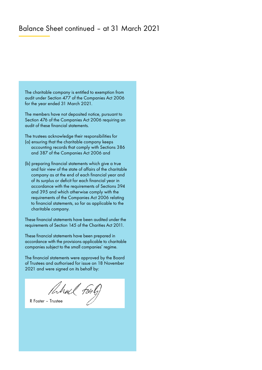The charitable company is entitled to exemption from audit under Section 477 of the Companies Act 2006 for the year ended 31 March 2021.

The members have not deposited notice, pursuant to Section 476 of the Companies Act 2006 requiring an audit of these financial statements.

The trustees acknowledge their responsibilities for

- (a) ensuring that the charitable company keeps accounting records that comply with Sections 386 and 387 of the Companies Act 2006 and
- (b) preparing financial statements which give a true and fair view of the state of affairs of the charitable company as at the end of each financial year and of its surplus or deficit for each financial year in accordance with the requirements of Sections 394 and 395 and which otherwise comply with the requirements of the Companies Act 2006 relating to financial statements, so far as applicable to the charitable company.

These financial statements have been audited under the requirements of Section 145 of the Charities Act 2011.

These financial statements have been prepared in accordance with the provisions applicable to charitable companies subject to the small companies' regime.

The financial statements were approved by the Board of Trustees and authorised for issue on 18 November 2021 and were signed on its behalf by:

R Foster - Trustee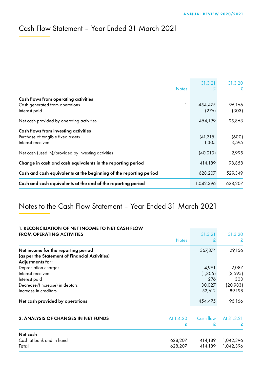## Cash Flow Statement – Year Ended 31 March 2021

|                                                                    | 31.3.21   | 31.3.20 |
|--------------------------------------------------------------------|-----------|---------|
| <b>Notes</b>                                                       | £         | £       |
| Cash flows from operating activities                               |           |         |
| Cash generated from operations                                     | 454,475   | 96,166  |
| Interest paid                                                      | (276)     | (303)   |
| Net cash provided by operating activities                          | 454,199   | 95,863  |
| <b>Cash flows from investing activities</b>                        |           |         |
| Purchase of tangible fixed assets                                  | (41, 315) | (600)   |
| Interest received                                                  | 1,305     | 3,595   |
| Net cash (used in)/provided by investing activities                | (40,010)  | 2,995   |
| Change in cash and cash equivalents in the reporting period        | 414,189   | 98,858  |
| Cash and cash equivalents at the beginning of the reporting period | 628,207   | 529,349 |
| Cash and cash equivalents at the end of the reporting period       | 1,042,396 | 628,207 |

## Notes to the Cash Flow Statement – Year Ended 31 March 2021

| 1. RECONCILIATION OF NET INCOME TO NET CASH FLOW |           |            |
|--------------------------------------------------|-----------|------------|
| <b>FROM OPERATING ACTIVITIES</b>                 | 31.3.21   | 31.3.20    |
| <b>Notes</b>                                     | £         | £          |
| Net income for the reporting period              | 367,874   | 29,156     |
| (as per the Statement of Financial Activities)   |           |            |
| <b>Adjustments for:</b>                          |           |            |
| Depreciation charges                             | 4,991     | 2,087      |
| Interest received                                | (1, 305)  | (3, 595)   |
| Interest paid                                    | 276       | 303        |
| Decrease/(increase) in debtors                   | 30,027    | (20,983)   |
| Increase in creditors                            | 52,612    | 89,198     |
| Net cash provided by operations                  | 454,475   | 96,166     |
| 2. ANALYSIS OF CHANGES IN NET FUNDS<br>At 1.4.20 | Cash flow | At 31.3.21 |
| £                                                | £         | £          |
| Net cash                                         |           |            |
| Cash at bank and in hand<br>628,207              | 414,189   | 1,042,396  |
| 628,207<br>Total                                 | 414,189   | 1,042,396  |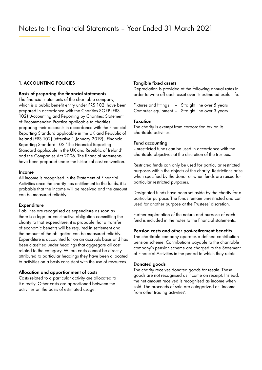#### 1. ACCOUNTING POLICIES

#### Basis of preparing the financial statements

The financial statements of the charitable company, which is a public benefit entity under FRS 102, have been prepared in accordance with the Charities SORP (FRS 102) 'Accounting and Reporting by Charities: Statement of Recommended Practice applicable to charities preparing their accounts in accordance with the Financial Reporting Standard applicable in the UK and Republic of Ireland (FRS 102) (effective 1 January 2019)', Financial Reporting Standard 102 'The Financial Reporting Standard applicable in the UK and Republic of Ireland' and the Companies Act 2006. The financial statements have been prepared under the historical cost convention.

#### Income

All income is recognised in the Statement of Financial Activities once the charity has entitlement to the funds, it is probable that the income will be received and the amount can be measured reliably.

#### Expenditure

Liabilities are recognised as expenditure as soon as there is a legal or constructive obligation committing the charity to that expenditure, it is probable that a transfer of economic benefits will be required in settlement and the amount of the obligation can be measured reliably. Expenditure is accounted for on an accruals basis and has been classified under headings that aggregate all cost related to the category. Where costs cannot be directly attributed to particular headings they have been allocated to activities on a basis consistent with the use of resources.

#### Allocation and apportionment of costs

Costs related to a particular activity are allocated to it directly. Other costs are apportioned between the activities on the basis of estimated usage.

#### Tangible fixed assets

Depreciation is provided at the following annual rates in order to write off each asset over its estimated useful life.

Fixtures and fittings – Straight line over 5 years Computer equipment – Straight line over 3 years

#### **Taxation**

The charity is exempt from corporation tax on its charitable activities.

#### Fund accounting

Unrestricted funds can be used in accordance with the charitable objectives at the discretion of the trustees.

Restricted funds can only be used for particular restricted purposes within the objects of the charity. Restrictions arise when specified by the donor or when funds are raised for particular restricted purposes.

Designated funds have been set aside by the charity for a particular purpose. The funds remain unrestricted and can used for another purpose at the Trustees' discretion.

Further explanation of the nature and purpose of each fund is included in the notes to the financial statements.

#### Pension costs and other post-retirement benefits

The charitable company operates a defined contribution pension scheme. Contributions payable to the charitable company's pension scheme are charged to the Statement of Financial Activities in the period to which they relate.

#### Donated goods

The charity receives donated goods for resale. These goods are not recognised as income on receipt. Instead, the net amount received is recognised as income when sold. The proceeds of sale are categorized as 'Income from other trading activities'.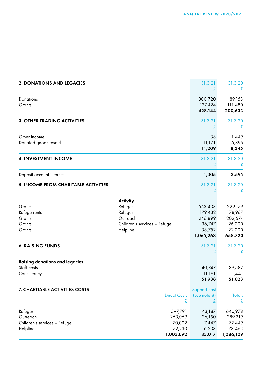| 2. DONATIONS AND LEGACIES                                           |                                                                                               | 31.3.21<br>£                                                   | 31.3.20<br>£                                                 |
|---------------------------------------------------------------------|-----------------------------------------------------------------------------------------------|----------------------------------------------------------------|--------------------------------------------------------------|
| Donations<br>Grants                                                 |                                                                                               | 300,720<br>127,424<br>428,144                                  | 89,153<br>111,480<br>200,633                                 |
| <b>3. OTHER TRADING ACTIVITIES</b>                                  |                                                                                               | 31.3.21<br>£                                                   | 31.3.20<br>£                                                 |
| Other income<br>Donated goods resold                                |                                                                                               | 38<br>11,171<br>11,209                                         | 1,449<br>6,896<br>8,345                                      |
| <b>4. INVESTMENT INCOME</b>                                         |                                                                                               | 31.3.21<br>£                                                   | 31.3.20<br>£                                                 |
| Deposit account interest                                            |                                                                                               | 1,305                                                          | 3,595                                                        |
| 5. INCOME FROM CHARITABLE ACTIVITIES                                |                                                                                               | 31.3.21<br>£                                                   | 31.3.20<br>£                                                 |
| Grants<br>Refuge rents<br>Grants<br>Grants<br>Grants                | <b>Activity</b><br>Refuges<br>Refuges<br>Outreach<br>Children's services - Refuge<br>Helpline | 563,433<br>179,432<br>246,899<br>36,747<br>38,752<br>1,065,263 | 229,179<br>178,967<br>202,574<br>26,000<br>22,000<br>658,720 |
| <b>6. RAISING FUNDS</b>                                             |                                                                                               | 31.3.21<br>£                                                   | 31.3.20<br>£                                                 |
| <b>Raising donations and legacies</b><br>Staff costs<br>Consultancy |                                                                                               | 40,747<br>11,191<br>51,938                                     | 39,582<br>11,441<br>51,023                                   |
| 7. CHARITABLE ACTIVITIES COSTS                                      | <b>Direct Costs</b><br>£                                                                      | Support cost<br>(see note 8)<br>£                              | <b>Totals</b><br>£                                           |
| Refuges<br>Outreach<br>Children's services - Refuge<br>Helpline     | 597,791<br>263,069<br>70,002<br>72,230<br>1,003,092                                           | 43,187<br>26,150<br>7,447<br>6,233<br>83,017                   | 640,978<br>289,219<br>77,449<br>78,463<br>1,086,109          |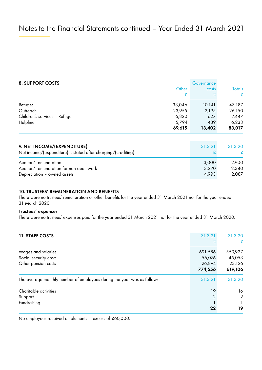|  |  |  |  | 8. SUPPORT COSTS |
|--|--|--|--|------------------|
|--|--|--|--|------------------|

|                                                                | Other                    | costs                | <b>Totals</b>            |
|----------------------------------------------------------------|--------------------------|----------------------|--------------------------|
|                                                                | £                        | £                    | £                        |
| Refuges                                                        | 33,046                   | 10,141               | 43,187                   |
| Outreach                                                       | 23,955                   | 2,195                | 26,150                   |
| Children's services - Refuge<br>Helpline                       | 6,820<br>5,794<br>69,615 | 627<br>439<br>13,402 | 7,447<br>6,233<br>83,017 |
| 9. NET INCOME/(EXPENDITURE)                                    |                          | 31.3.21              | 31.3.20                  |
| Net income/(expenditure) is stated after charging/(crediting): |                          | £                    | £                        |
| Auditors' remuneration                                         |                          | 3,000                | 2,900                    |
| Auditors' remuneration for non-audit work                      |                          | 3,270                | 2,340                    |
| Depreciation - owned assets                                    |                          | 4,993                | 2,087                    |

**6** Governance

#### 10. TRUSTEES' REMUNERATION AND BENEFITS

There were no trustees' remuneration or other benefits for the year ended 31 March 2021 nor for the year ended 31 March 2020.

#### Trustees' expenses

There were no trustees' expenses paid for the year ended 31 March 2021 nor for the year ended 31 March 2020.

| <b>11. STAFF COSTS</b>                                                  |         | 31.3.20 |
|-------------------------------------------------------------------------|---------|---------|
|                                                                         | £       | £       |
| Wages and salaries                                                      | 691,586 | 550,927 |
| Social security costs                                                   | 56,076  | 45,053  |
| Other pension costs                                                     | 26,894  | 23,126  |
|                                                                         | 774,556 | 619,106 |
| The average monthly number of employees during the year was as follows: | 31.3.21 | 31.3.20 |
| Charitable activities                                                   | 19      | 16      |
| Support                                                                 | 2       | 2       |
| Fundraising                                                             |         |         |
|                                                                         | 22      | 19      |

No employees received emoluments in excess of £60,000.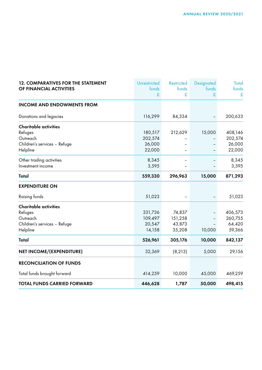| <b>12. COMPARATIVES FOR THE STATEMENT</b><br>OF FINANCIAL ACTIVITIES                            | <b>Unrestricted</b><br>funds<br>£      | <b>Restricted</b><br>funds<br>£       | Designated<br>funds<br>£ | Total<br>funds<br>£                    |
|-------------------------------------------------------------------------------------------------|----------------------------------------|---------------------------------------|--------------------------|----------------------------------------|
| <b>INCOME AND ENDOWMENTS FROM</b>                                                               |                                        |                                       |                          |                                        |
| Donations and legacies                                                                          | 116,299                                | 84,334                                |                          | 200,633                                |
| <b>Charitable activities</b><br>Refuges<br>Outreach<br>Children's services - Refuge<br>Helpline | 180,517<br>202,574<br>26,000<br>22,000 | 212,629<br>$\overline{\phantom{0}}$   | 15,000                   | 408,146<br>202,574<br>26,000<br>22,000 |
| Other trading activities<br>Investment income                                                   | 8,345<br>3,595                         |                                       |                          | 8,345<br>3,595                         |
| Total                                                                                           | 559,330                                | 296,963                               | 15,000                   | 871,293                                |
| <b>EXPENDITURE ON</b>                                                                           |                                        |                                       |                          |                                        |
| Raising funds                                                                                   | 51,023                                 |                                       |                          | 51,023                                 |
| <b>Charitable activities</b><br>Refuges<br>Outreach<br>Children's services - Refuge<br>Helpline | 331,736<br>109,497<br>20,547<br>14,158 | 74,837<br>151,258<br>43,873<br>35,208 | 10,000                   | 406,573<br>260,755<br>64,420<br>59,366 |
| Total                                                                                           | 526,961                                | 305,176                               | 10,000                   | 842,137                                |
| <b>NET INCOME/(EXPENDITURE)</b>                                                                 | 32,369                                 | (8, 213)                              | 5,000                    | 29,156                                 |
| <b>RECONCILIATION OF FUNDS</b>                                                                  |                                        |                                       |                          |                                        |
| Total funds brought forward                                                                     | 414,259                                | 10,000                                | 45,000                   | 469,259                                |
| <b>TOTAL FUNDS CARRIED FORWARD</b>                                                              | 446,628                                | 1,787                                 | 50,000                   | 498,415                                |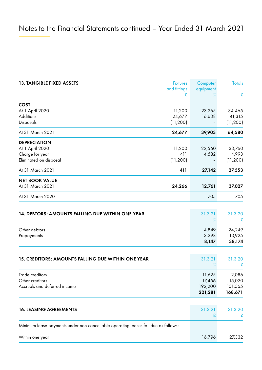| <b>13. TANGIBLE FIXED ASSETS</b>                                                   | <b>Fixtures</b>     | Computer  | <b>Totals</b>       |
|------------------------------------------------------------------------------------|---------------------|-----------|---------------------|
|                                                                                    | and fittings        | equipment |                     |
|                                                                                    | £                   | £         | £                   |
| <b>COST</b>                                                                        |                     |           |                     |
| At 1 April 2020<br><b>Additions</b>                                                | 11,200              | 23,265    | 34,465              |
| Disposals                                                                          | 24,677<br>(11, 200) | 16,638    | 41,315<br>(11, 200) |
|                                                                                    |                     |           |                     |
| At 31 March 2021                                                                   | 24,677              | 39,903    | 64,580              |
| <b>DEPRECIATION</b>                                                                |                     |           |                     |
| At 1 April 2020                                                                    | 11,200              | 22,560    | 33,760              |
| Charge for year                                                                    | 411                 | 4,582     | 4,993               |
| Eliminated on disposal                                                             | (11, 200)           |           | (11, 200)           |
| At 31 March 2021                                                                   | 411                 | 27,142    | 27,553              |
| <b>NET BOOK VALUE</b>                                                              |                     |           |                     |
| At 31 March 2021                                                                   | 24,266              | 12,761    | 37,027              |
| At 31 March 2020                                                                   |                     | 705       | 705                 |
|                                                                                    |                     |           |                     |
| 14. DEBTORS: AMOUNTS FALLING DUE WITHIN ONE YEAR                                   |                     | 31.3.21   | 31.3.20             |
|                                                                                    |                     | £         | £                   |
| Other debtors                                                                      |                     | 4,849     | 24,249              |
| Prepayments                                                                        |                     | 3,298     | 13,925              |
|                                                                                    |                     | 8,147     | 38,174              |
|                                                                                    |                     |           |                     |
| <b>15. CREDITORS: AMOUNTS FALLING DUE WITHIN ONE YEAR</b>                          |                     | 31.3.21   | 31.3.20             |
|                                                                                    |                     | £         | £                   |
| Trade creditors                                                                    |                     | 11,625    | 2,086               |
| Other creditors                                                                    |                     | 17,456    | 15,020              |
| Accruals and deferred income                                                       |                     | 192,200   | 151,565             |
|                                                                                    |                     | 221,281   | 168,671             |
|                                                                                    |                     |           |                     |
| <b>16. LEASING AGREEMENTS</b>                                                      |                     | 31.3.21   | 31.3.20             |
|                                                                                    |                     | £         | £                   |
| Minimum lease payments under non-cancellable operating leases fall due as follows: |                     |           |                     |
| Within one year                                                                    |                     | 16,796    | 27,332              |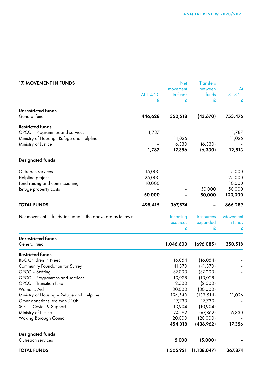| <b>17. MOVEMENT IN FUNDS</b>                                 |           | <b>Net</b> | <b>Transfers</b> |          |
|--------------------------------------------------------------|-----------|------------|------------------|----------|
|                                                              |           | movement   | between          | At       |
|                                                              | At 1.4.20 | in funds   | funds            | 31.3.21  |
|                                                              | £         | £          | £                | £        |
| <b>Unrestricted funds</b>                                    |           |            |                  |          |
| General fund                                                 | 446,628   | 350,518    | (43, 670)        | 753,476  |
| <b>Restricted funds</b>                                      |           |            |                  |          |
| OPCC - Programmes and services                               | 1,787     |            |                  | 1,787    |
| Ministry of Housing - Refuge and Helpline                    |           | 11,026     |                  | 11,026   |
| Ministry of Justice                                          |           | 6,330      | (6, 330)         |          |
|                                                              | 1,787     | 17,356     | (6, 330)         | 12,813   |
| <b>Designated funds</b>                                      |           |            |                  |          |
| Outreach services                                            | 15,000    |            |                  | 15,000   |
| Helpline project                                             | 25,000    |            |                  | 25,000   |
| Fund raising and commissioning                               | 10,000    |            |                  | 10,000   |
| Refuge property costs                                        |           |            | 50,000           | 50,000   |
|                                                              | 50,000    |            | 50,000           | 100,000  |
| <b>TOTAL FUNDS</b>                                           | 498,415   | 367,874    |                  | 866,289  |
| Net movement in funds, included in the above are as follows: |           | Incoming   | Resources        | Movement |
|                                                              |           | resources  | expended         | in funds |
|                                                              |           | £          | £                | £        |
| <b>Unrestricted funds</b>                                    |           |            |                  |          |
| General fund                                                 |           | 1,046,603  | (696,085)        | 350,518  |
| <b>Restricted funds</b>                                      |           |            |                  |          |
| <b>BBC Children in Need</b>                                  |           | 16,054     | (16, 054)        |          |
| Community Foundation for Surrey                              |           | 41,370     | (41, 370)        |          |
| OPCC - Staffing                                              |           | 37,000     | (37,000)         |          |
| OPCC - Programmes and services                               |           | 10,028     | (10,028)         |          |
| OPCC - Transition fund                                       |           | 2,500      | (2,500)          |          |
| Women's Aid                                                  |           | 30,000     | (30,000)         |          |
| Ministry of Housing - Refuge and Helpline                    |           | 194,540    | (183, 514)       | 11,026   |
| Other donations less than £10k                               |           | 17,730     | (17,730)         |          |
| SCC - Covid-19 Support                                       |           | 10,904     | (10,904)         |          |
| Ministry of Justice                                          |           | 74,192     | (67,862)         | 6,330    |
| Woking Borough Council                                       |           | 20,000     | (20,000)         |          |
|                                                              |           | 454,318    | (436,962)        | 17,356   |
| <b>Designated funds</b>                                      |           |            |                  |          |
| Outreach services                                            |           | 5,000      | (5,000)          |          |
| <b>TOTAL FUNDS</b>                                           |           | 1,505,921  | (1, 138, 047)    | 367,874  |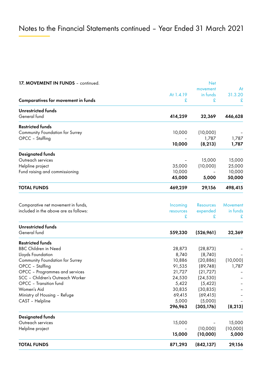| 17. MOVEMENT IN FUNDS - continued.        | <b>Net</b> |            |          |  |  |
|-------------------------------------------|------------|------------|----------|--|--|
|                                           |            | movement   | At       |  |  |
|                                           | At 1.4.19  | in funds   | 31.3.20  |  |  |
| <b>Comparatives for movement in funds</b> | £          | £          | £        |  |  |
| <b>Unrestricted funds</b>                 |            |            |          |  |  |
| General fund                              | 414,259    | 32,369     | 446,628  |  |  |
| <b>Restricted funds</b>                   |            |            |          |  |  |
| Community Foundation for Surrey           | 10,000     | (10,000)   |          |  |  |
| OPCC - Staffing                           |            | 1,787      | 1,787    |  |  |
|                                           | 10,000     | (8, 213)   | 1,787    |  |  |
| <b>Designated funds</b>                   |            |            |          |  |  |
| Outreach services                         |            | 15,000     | 15,000   |  |  |
| Helpline project                          | 35,000     | (10,000)   | 25,000   |  |  |
| Fund raising and commissioning            | 10,000     |            | 10,000   |  |  |
|                                           | 45,000     | 5,000      | 50,000   |  |  |
| <b>TOTAL FUNDS</b>                        | 469,259    | 29,156     | 498,415  |  |  |
|                                           |            |            |          |  |  |
| Comparative net movement in funds,        | Incoming   | Resources  | Movement |  |  |
| included in the above are as follows:     | resources  | expended   | in funds |  |  |
|                                           | £          | £          | £        |  |  |
| <b>Unrestricted funds</b>                 |            |            |          |  |  |
| General fund                              | 559,330    | (526,961)  | 32,369   |  |  |
| <b>Restricted funds</b>                   |            |            |          |  |  |
| <b>BBC Children in Need</b>               | 28,873     | (28, 873)  |          |  |  |
| Lloyds Foundation                         | 8,740      | (8,740)    |          |  |  |
| Community Foundation for Surrey           | 10,886     | (20, 886)  | (10,000) |  |  |
| OPCC - Staffing                           | 91,535     | (89,748)   | 1,787    |  |  |
| OPCC - Programmes and services            | 21,727     | (21, 727)  |          |  |  |
| SCC - Children's Outreach Worker          | 24,530     | (24, 530)  |          |  |  |
| <b>OPCC</b> - Transition fund             | 5,422      | (5, 422)   |          |  |  |
| Women's Aid                               | 30,835     | (30, 835)  |          |  |  |
| Ministry of Housing - Refuge              | 69,415     | (69, 415)  |          |  |  |
| CAST - Helpline                           | 5,000      | (5,000)    |          |  |  |
|                                           | 296,963    | (305, 176) | (8, 213) |  |  |
| <b>Designated funds</b>                   |            |            |          |  |  |
| Outreach services                         | 15,000     |            | 15,000   |  |  |
| Helpline project                          |            | (10,000)   | (10,000) |  |  |
|                                           | 15,000     | (10,000)   | 5,000    |  |  |
| <b>TOTAL FUNDS</b>                        | 871,293    | (842, 137) | 29,156   |  |  |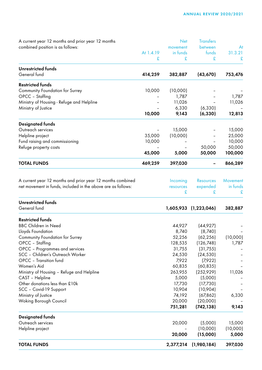| A current year 12 months and prior year 12 months                                                                          |           | <b>Net</b><br>movement | <b>Transfers</b><br>between | At                   |
|----------------------------------------------------------------------------------------------------------------------------|-----------|------------------------|-----------------------------|----------------------|
| combined position is as follows:                                                                                           |           |                        |                             |                      |
|                                                                                                                            | At 1.4.19 | in funds               | funds                       | 31.3.21              |
|                                                                                                                            | £         | £                      | £                           | £                    |
| <b>Unrestricted funds</b>                                                                                                  |           |                        |                             |                      |
| General fund                                                                                                               | 414,259   | 382,887                | (43, 670)                   | 753,476              |
| <b>Restricted funds</b>                                                                                                    |           |                        |                             |                      |
| Community Foundation for Surrey                                                                                            | 10,000    | (10,000)               |                             |                      |
| OPCC - Staffing                                                                                                            |           | 1,787                  |                             | 1,787                |
| Ministry of Housing - Refuge and Helpline                                                                                  |           | 11,026                 |                             | 11,026               |
| Ministry of Justice                                                                                                        |           | 6,330                  | (6, 330)                    |                      |
|                                                                                                                            | 10,000    | 9,143                  | (6, 330)                    | 12,813               |
| <b>Designated funds</b>                                                                                                    |           |                        |                             |                      |
| Outreach services                                                                                                          |           | 15,000                 |                             | 15,000               |
| Helpline project                                                                                                           | 35,000    | (10,000)               |                             | 25,000               |
| Fund raising and commissioning                                                                                             | 10,000    |                        |                             | 10,000               |
| Refuge property costs                                                                                                      |           |                        | 50,000                      | 50,000               |
|                                                                                                                            | 45,000    | 5,000                  | 50,000                      | 100,000              |
| <b>TOTAL FUNDS</b>                                                                                                         | 469,259   | 397,030                |                             | 866,289              |
| A current year 12 months and prior year 12 months combined<br>net movement in funds, included in the above are as follows: |           | Incoming<br>resources  | Resources<br>expended       | Movement<br>in funds |
|                                                                                                                            |           | £                      | £                           | £                    |
| <b>Unrestricted funds</b>                                                                                                  |           |                        |                             |                      |
| General fund                                                                                                               |           | 1,605,933              | (1, 223, 046)               | 382,887              |
| <b>Restricted funds</b>                                                                                                    |           |                        |                             |                      |
| <b>BBC Children in Need</b>                                                                                                |           | 44,927                 | (44, 927)                   |                      |
| Lloyds Foundation                                                                                                          |           | 8,740                  | (8,740)                     |                      |
| <b>Community Foundation for Surrey</b>                                                                                     |           | 52,256                 | (62, 256)                   | (10,000)             |
| OPCC - Staffing                                                                                                            |           | 128,535                | (126, 748)                  | 1,787                |
| OPCC - Programmes and services                                                                                             |           | 31,755                 | (31,755)                    |                      |
| SCC - Children's Outreach Worker                                                                                           |           | 24,530                 | (24, 530)                   |                      |
| OPCC - Transition fund                                                                                                     |           | 7,922                  | (7,922)                     |                      |
| Women's Aid                                                                                                                |           | 60,835                 | (60, 835)                   |                      |
| Ministry of Housing - Refuge and Helpline                                                                                  |           | 263,955                | (252,929)                   | 11,026               |
| CAST - Helpline                                                                                                            |           | 5,000                  | (5,000)                     |                      |
| Other donations less than £10k                                                                                             |           | 17,730                 | (17,730)                    |                      |
| SCC - Covid-19 Support                                                                                                     |           | 10,904                 | (10,904)                    |                      |
| Ministry of Justice                                                                                                        |           | 74,192                 | (67,862)                    | 6,330                |
| Woking Borough Council                                                                                                     |           | 20,000                 | (20,000)                    |                      |
|                                                                                                                            |           | 751,281                | (742, 138)                  | 9,143                |
| <b>Designated funds</b>                                                                                                    |           |                        |                             |                      |
| Outreach services                                                                                                          |           | 20,000                 | (5,000)                     | 15,000               |
| Helpline project                                                                                                           |           |                        | (10,000)                    | (10,000)             |
|                                                                                                                            |           | 20,000                 | (15,000)                    | 5,000                |
| <b>TOTAL FUNDS</b>                                                                                                         |           | 2,377,214              | (1,980,184)                 | 397,030              |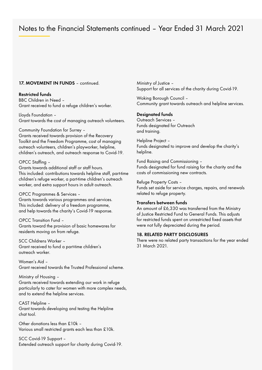#### 17. MOVEMENT IN FUNDS - continued.

#### Restricted funds

BBC Children in Need – Grant received to fund a refuge children's worker.

Lloyds Foundation – Grant towards the cost of managing outreach volunteers.

#### Community Foundation for Surrey –

Grants received towards provision of the Recovery Toolkit and the Freedom Programme, cost of managing outreach volunteers, children's playworker, helpline, children's outreach, and outreach response to Covid-19.

#### OPCC Staffing –

Grants towards additional staff or staff hours. This included: contributions towards helpline staff, part-time children's refuge worker, a part-time children's outreach worker, and extra support hours in adult outreach.

#### OPCC Programmes & Services –

Grants towards various programmes and services. This included: delivery of a freedom programme, and help towards the charity's Covid-19 response.

#### OPCC Transition Fund –

Grants toward the provision of basic homewares for residents moving on from refuge.

#### SCC Childrens Worker – Grant received to fund a part-time children's outreach worker.

Women's Aid – Grant received towards the Trusted Professional scheme.

#### Ministry of Housing –

Grants received towards extending our work in refuge particularly to cater for women with more complex needs, and to extend the helpline services.

#### CAST Helpline –

Grant towards developing and testing the Helpline chat tool.

Other donations less than £10k – Various small restricted grants each less than £10k.

SCC Covid-19 Support – Extended outreach support for charity during Covid-19. Ministry of Justice – Support for all services of the charity during Covid-19.

Woking Borough Council – Community grant towards outreach and helpline services.

#### Designated funds

Outreach Services – Funds designated for Outreach and training.

Helpline Project – Funds designated to improve and develop the charity's helpline.

Fund Raising and Commissioning – Funds designated for fund raising for the charity and the costs of commissioning new contracts.

#### Refuge Property Costs – Funds set aside for service charges, repairs, and renewals related to refuge property.

#### Transfers between funds

An amount of £6,330 was transferred from the Ministry of Justice Restricted Fund to General Funds. This adjusts for restricted funds spent on unrestricted fixed assets that were not fully depreciated during the period.

#### 18. RELATED PARTY DISCLOSURES

There were no related party transactions for the year ended 31 March 2021.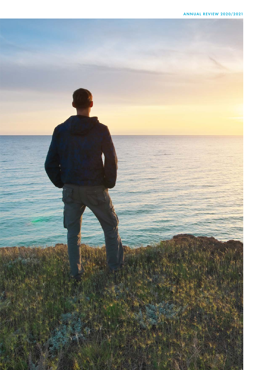